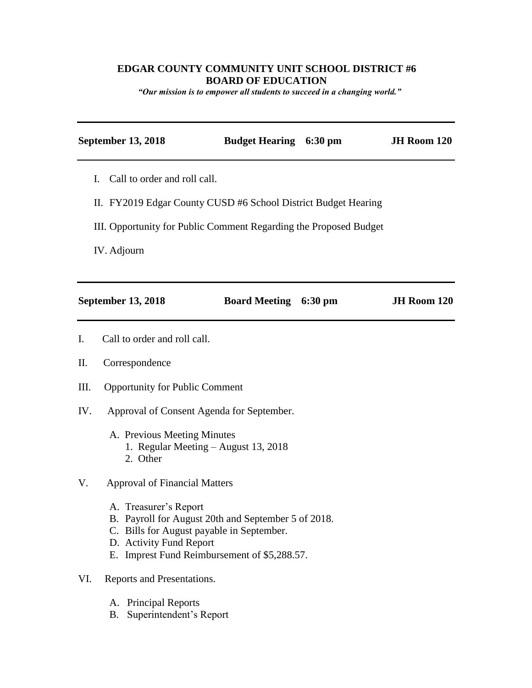## **EDGAR COUNTY COMMUNITY UNIT SCHOOL DISTRICT #6 BOARD OF EDUCATION**

*"Our mission is to empower all students to succeed in a changing world."*

|                | <b>September 13, 2018</b>                                                                                                                                                                            | <b>Budget Hearing 6:30 pm</b> |  | JH Room 120 |
|----------------|------------------------------------------------------------------------------------------------------------------------------------------------------------------------------------------------------|-------------------------------|--|-------------|
| Ι.             | Call to order and roll call.<br>II. FY2019 Edgar County CUSD #6 School District Budget Hearing                                                                                                       |                               |  |             |
|                |                                                                                                                                                                                                      |                               |  |             |
|                | III. Opportunity for Public Comment Regarding the Proposed Budget                                                                                                                                    |                               |  |             |
|                | IV. Adjourn                                                                                                                                                                                          |                               |  |             |
|                |                                                                                                                                                                                                      |                               |  |             |
|                | <b>September 13, 2018</b>                                                                                                                                                                            | <b>Board Meeting 6:30 pm</b>  |  | JH Room 120 |
| $\mathbf{I}$ . | Call to order and roll call.                                                                                                                                                                         |                               |  |             |
| Π.             | Correspondence                                                                                                                                                                                       |                               |  |             |
| Ш.             | <b>Opportunity for Public Comment</b>                                                                                                                                                                |                               |  |             |
| IV.            | Approval of Consent Agenda for September.                                                                                                                                                            |                               |  |             |
|                | A. Previous Meeting Minutes<br>1. Regular Meeting - August 13, 2018<br>2. Other                                                                                                                      |                               |  |             |
| V.             | <b>Approval of Financial Matters</b>                                                                                                                                                                 |                               |  |             |
|                | A. Treasurer's Report<br>B. Payroll for August 20th and September 5 of 2018.<br>C. Bills for August payable in September.<br>D. Activity Fund Report<br>E. Imprest Fund Reimbursement of \$5,288.57. |                               |  |             |
| VI.            | Reports and Presentations.                                                                                                                                                                           |                               |  |             |
|                | A. Principal Reports<br>Superintendent's Report<br>B.                                                                                                                                                |                               |  |             |